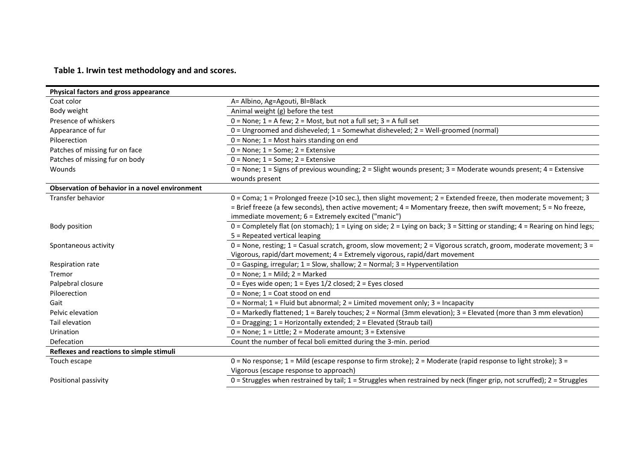**Table 1. Irwin test methodology and and scores.**

| Physical factors and gross appearance          |                                                                                                                                    |
|------------------------------------------------|------------------------------------------------------------------------------------------------------------------------------------|
| Coat color                                     | A= Albino, Ag=Agouti, Bl=Black                                                                                                     |
| Body weight                                    | Animal weight (g) before the test                                                                                                  |
| Presence of whiskers                           | $0 = None$ ; $1 = A few$ ; $2 = Most$ , but not a full set; $3 = A$ full set                                                       |
| Appearance of fur                              | 0 = Ungroomed and disheveled; 1 = Somewhat disheveled; 2 = Well-groomed (normal)                                                   |
| Piloerection                                   | $0 = None$ ; 1 = Most hairs standing on end                                                                                        |
| Patches of missing fur on face                 | $0 = None$ ; $1 = Some$ ; $2 = Extensive$                                                                                          |
| Patches of missing fur on body                 | $0 = None$ ; $1 = Some$ ; $2 = Extensive$                                                                                          |
| Wounds                                         | $0 =$ None; 1 = Signs of previous wounding; 2 = Slight wounds present; 3 = Moderate wounds present; 4 = Extensive                  |
|                                                | wounds present                                                                                                                     |
| Observation of behavior in a novel environment |                                                                                                                                    |
| Transfer behavior                              | $0 = \text{Coma}$ ; 1 = Prolonged freeze (>10 sec.), then slight movement; 2 = Extended freeze, then moderate movement; 3          |
|                                                | = Brief freeze (a few seconds), then active movement; 4 = Momentary freeze, then swift movement; 5 = No freeze,                    |
|                                                | immediate movement; 6 = Extremely excited ("manic")                                                                                |
| Body position                                  | 0 = Completely flat (on stomach); $1 =$ Lying on side; $2 =$ Lying on back; $3 =$ Sitting or standing; $4 =$ Rearing on hind legs; |
|                                                | 5 = Repeated vertical leaping                                                                                                      |
| Spontaneous activity                           | 0 = None, resting; 1 = Casual scratch, groom, slow movement; 2 = Vigorous scratch, groom, moderate movement; 3 =                   |
|                                                | Vigorous, rapid/dart movement; 4 = Extremely vigorous, rapid/dart movement                                                         |
| Respiration rate                               | $0 =$ Gasping, irregular; $1 =$ Slow, shallow; $2 =$ Normal; $3 =$ Hyperventilation                                                |
| Tremor                                         | $0 = None$ ; $1 = Mild$ ; $2 = Market$                                                                                             |
| Palpebral closure                              | $0 =$ Eyes wide open; $1 =$ Eyes $1/2$ closed; $2 =$ Eyes closed                                                                   |
| Piloerection                                   | $0 = None$ ; 1 = Coat stood on end                                                                                                 |
| Gait                                           | $0 =$ Normal; 1 = Fluid but abnormal; 2 = Limited movement only; 3 = Incapacity                                                    |
| Pelvic elevation                               | $0$ = Markedly flattened; 1 = Barely touches; 2 = Normal (3mm elevation); 3 = Elevated (more than 3 mm elevation)                  |
| Tail elevation                                 | 0 = Dragging; 1 = Horizontally extended; 2 = Elevated (Straub tail)                                                                |
| <b>Urination</b>                               | 0 = None; 1 = Little; 2 = Moderate amount; 3 = Extensive                                                                           |
| Defecation                                     | Count the number of fecal boli emitted during the 3-min. period                                                                    |
| Reflexes and reactions to simple stimuli       |                                                                                                                                    |
| Touch escape                                   | 0 = No response; 1 = Mild (escape response to firm stroke); 2 = Moderate (rapid response to light stroke); 3 =                     |
|                                                | Vigorous (escape response to approach)                                                                                             |
| Positional passivity                           | $0$ = Struggles when restrained by tail; $1$ = Struggles when restrained by neck (finger grip, not scruffed); $2$ = Struggles      |
|                                                |                                                                                                                                    |